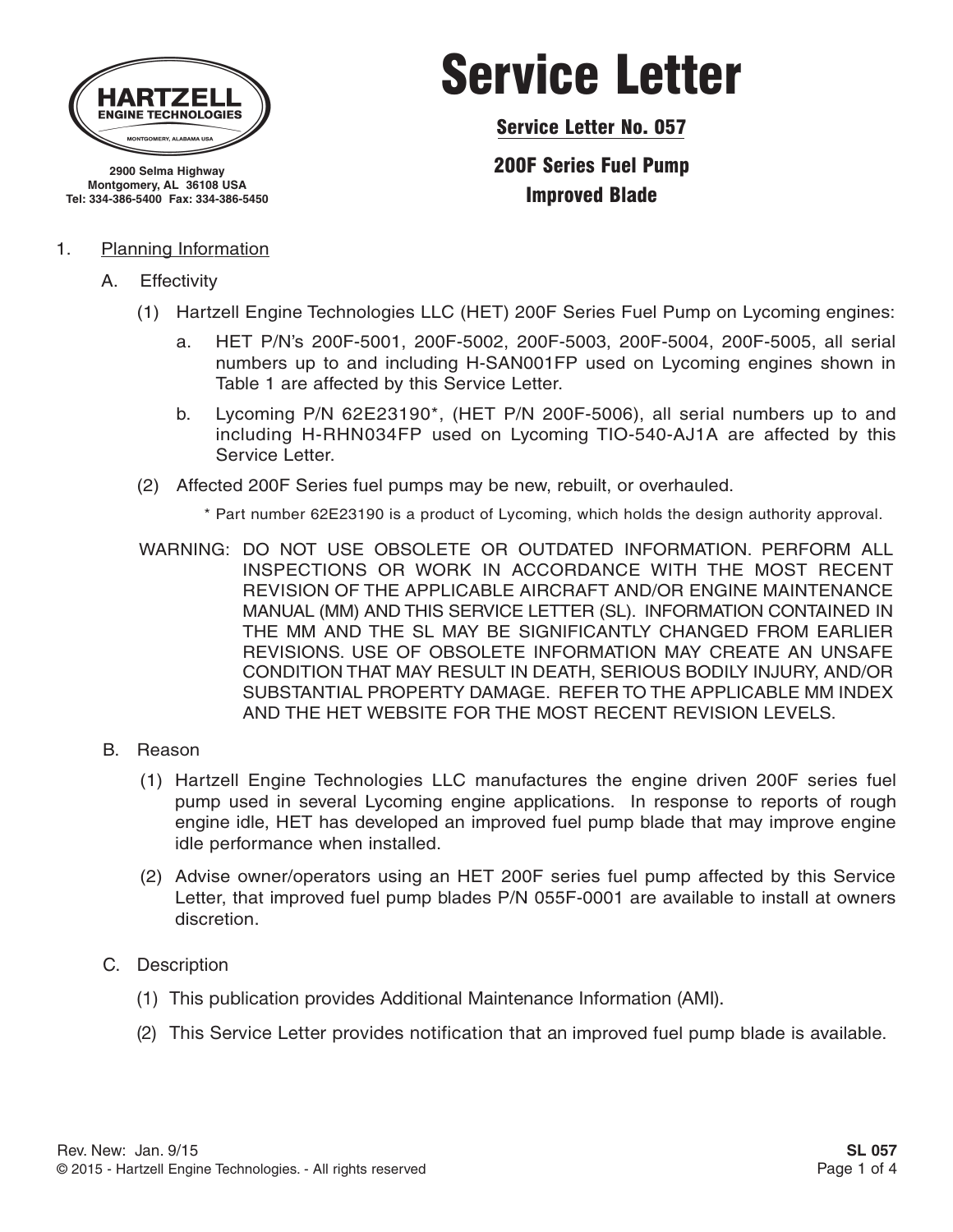

**2900 Selma Highway Montgomery, AL 36108 USA Tel: 334-386-5400 Fax: 334-386-5450**

#### 1. Planning Information

- A. Effectivity
	- (1) Hartzell Engine Technologies LLC (HET) 200F Series Fuel Pump on Lycoming engines:
		- a. HET P/N's 200F-5001, 200F-5002, 200F-5003, 200F-5004, 200F-5005, all serial numbers up to and including H-SAN001FP used on Lycoming engines shown in Table 1 are affected by this Service Letter.

Service Letter

Service Letter No. 057

200F Series Fuel Pump Improved Blade

- b. Lycoming P/N 62E23190\*, (HET P/N 200F-5006), all serial numbers up to and including H-RHN034FP used on Lycoming TIO-540-AJ1A are affected by this Service Letter.
- (2) Affected 200F Series fuel pumps may be new, rebuilt, or overhauled.

\* Part number 62E23190 is a product of Lycoming, which holds the design authority approval.

- WARNING: DO NOT USE OBSOLETE OR OUTDATED INFORMATION. PERFORM ALL INSPECTIONS OR WORK IN ACCORDANCE WITH THE MOST RECENT REVISION OF THE APPLICABLE AIRCRAFT AND/OR ENGINE MAINTENANCE MANUAL (MM) AND THIS SERVICE LETTER (SL). INFORMATION CONTAINED IN THE MM AND THE SL MAY BE SIGNIFICANTLY CHANGED FROM EARLIER REVISIONS. USE OF OBSOLETE INFORMATION MAY CREATE AN UNSAFE CONDITION THAT MAY RESULT IN DEATH, SERIOUS BODILY INJURY, AND/OR SUBSTANTIAL PROPERTY DAMAGE. REFER TO THE APPLICABLE MM INDEX AND THE HET WEBSITE FOR THE MOST RECENT REVISION LEVELS.
- B. Reason
	- (1) Hartzell Engine Technologies LLC manufactures the engine driven 200F series fuel pump used in several Lycoming engine applications. In response to reports of rough engine idle, HET has developed an improved fuel pump blade that may improve engine idle performance when installed.
	- (2) Advise owner/operators using an HET 200F series fuel pump affected by this Service Letter, that improved fuel pump blades P/N 055F-0001 are available to install at owners discretion.
- C. Description
	- (1) This publication provides Additional Maintenance Information (AMI).
	- (2) This Service Letter provides notification that an improved fuel pump blade is available.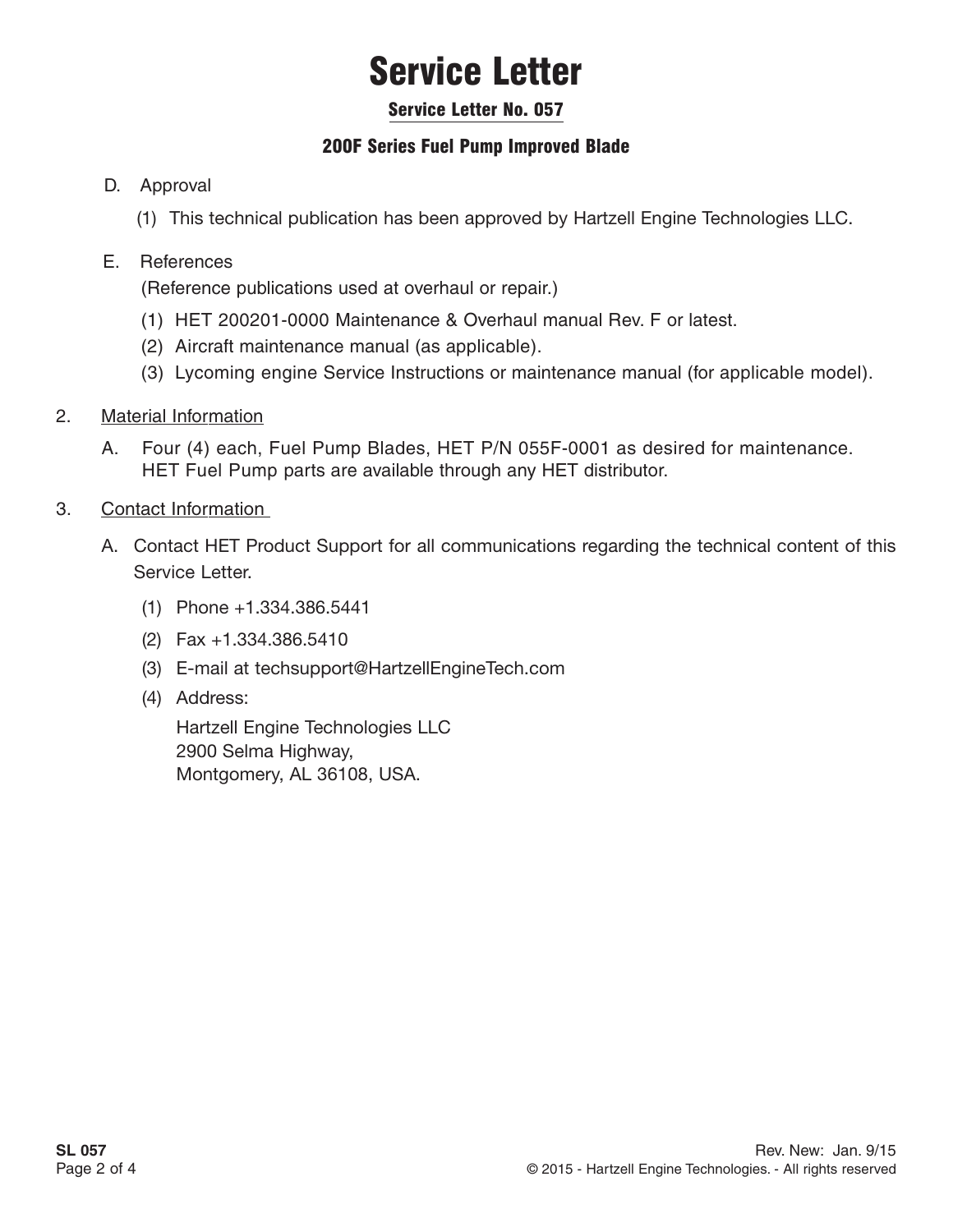# Service Letter

#### Service Letter No. 057

### 200F Series Fuel Pump Improved Blade

#### D. Approval

(1) This technical publication has been approved by Hartzell Engine Technologies LLC.

#### E. References

(Reference publications used at overhaul or repair.)

- (1) HET 200201-0000 Maintenance & Overhaul manual Rev. F or latest.
- (2) Aircraft maintenance manual (as applicable).
- (3) Lycoming engine Service Instructions or maintenance manual (for applicable model).
- 2. Material Information
	- A. Four (4) each, Fuel Pump Blades, HET P/N 055F-0001 as desired for maintenance. HET Fuel Pump parts are available through any HET distributor.
- 3. Contact Information
	- A. Contact HET Product Support for all communications regarding the technical content of this Service Letter.
		- (1) Phone +1.334.386.5441
		- (2) Fax +1.334.386.5410
		- (3) E-mail at techsupport@HartzellEngineTech.com
		- (4) Address:

Hartzell Engine Technologies LLC 2900 Selma Highway, Montgomery, AL 36108, USA.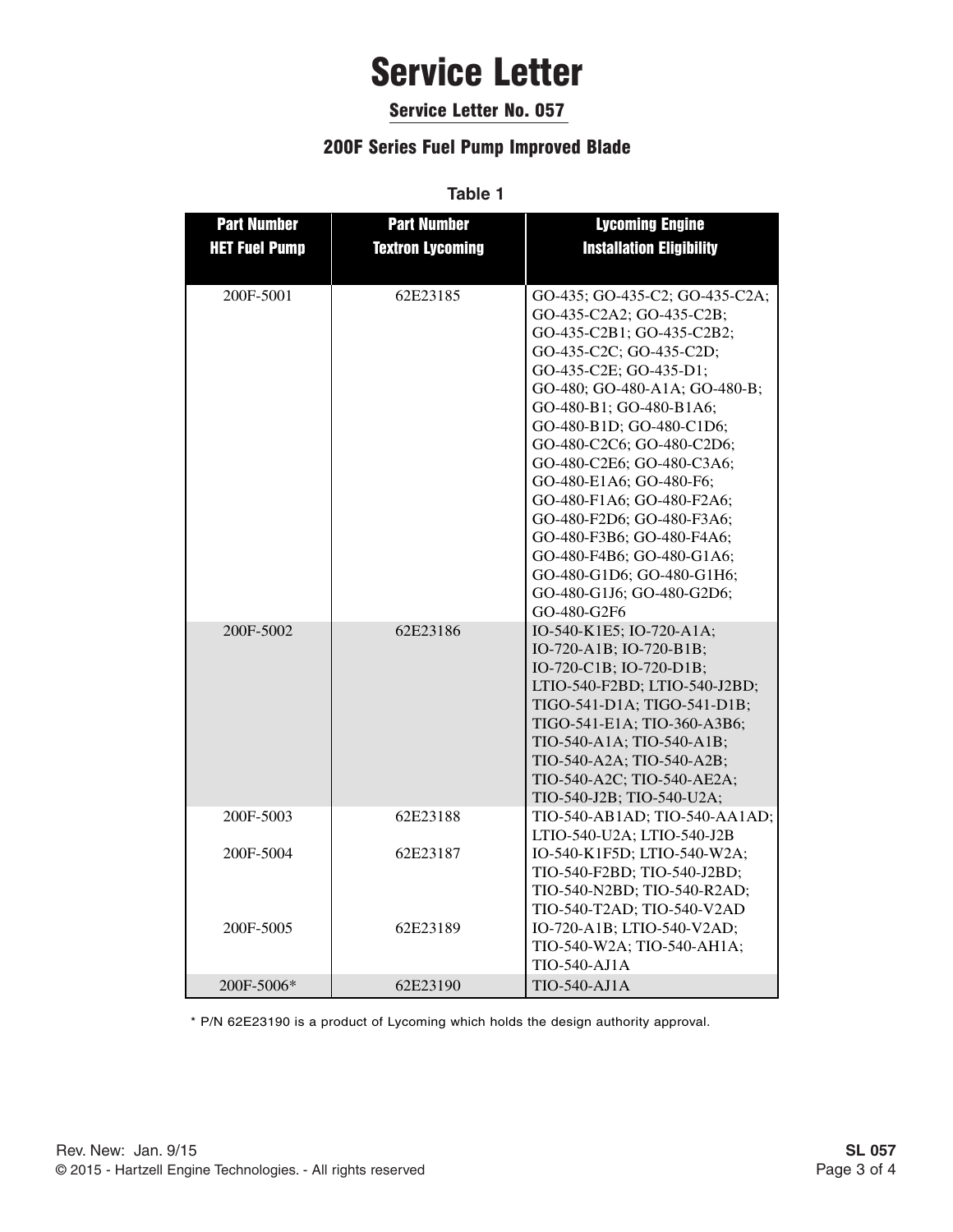### Service Letter

#### Service Letter No. 057

#### 200F Series Fuel Pump Improved Blade

**Table 1**

| <b>Part Number</b>   | <b>Part Number</b>      | <b>Lycoming Engine</b>          |
|----------------------|-------------------------|---------------------------------|
| <b>HET Fuel Pump</b> | <b>Textron Lycoming</b> | <b>Installation Eligibility</b> |
|                      |                         |                                 |
| 200F-5001            | 62E23185                | GO-435; GO-435-C2; GO-435-C2A;  |
|                      |                         | GO-435-C2A2; GO-435-C2B;        |
|                      |                         | GO-435-C2B1; GO-435-C2B2;       |
|                      |                         | GO-435-C2C; GO-435-C2D;         |
|                      |                         | GO-435-C2E; GO-435-D1;          |
|                      |                         | GO-480; GO-480-A1A; GO-480-B;   |
|                      |                         | GO-480-B1; GO-480-B1A6;         |
|                      |                         | GO-480-B1D; GO-480-C1D6;        |
|                      |                         | GO-480-C2C6; GO-480-C2D6;       |
|                      |                         | GO-480-C2E6; GO-480-C3A6;       |
|                      |                         | GO-480-E1A6; GO-480-F6;         |
|                      |                         | GO-480-F1A6; GO-480-F2A6;       |
|                      |                         | GO-480-F2D6; GO-480-F3A6;       |
|                      |                         | GO-480-F3B6; GO-480-F4A6;       |
|                      |                         | GO-480-F4B6; GO-480-G1A6;       |
|                      |                         | GO-480-G1D6; GO-480-G1H6;       |
|                      |                         | GO-480-G1J6; GO-480-G2D6;       |
|                      |                         | GO-480-G2F6                     |
| 200F-5002            | 62E23186                | IO-540-K1E5; IO-720-A1A;        |
|                      |                         | IO-720-A1B; IO-720-B1B;         |
|                      |                         | IO-720-C1B; IO-720-D1B;         |
|                      |                         | LTIO-540-F2BD; LTIO-540-J2BD;   |
|                      |                         | TIGO-541-D1A; TIGO-541-D1B;     |
|                      |                         | TIGO-541-E1A; TIO-360-A3B6;     |
|                      |                         | TIO-540-A1A; TIO-540-A1B;       |
|                      |                         | TIO-540-A2A; TIO-540-A2B;       |
|                      |                         | TIO-540-A2C; TIO-540-AE2A;      |
|                      |                         | TIO-540-J2B; TIO-540-U2A;       |
| 200F-5003            | 62E23188                | TIO-540-AB1AD; TIO-540-AA1AD;   |
|                      |                         | LTIO-540-U2A; LTIO-540-J2B      |
| 200F-5004            | 62E23187                | IO-540-K1F5D; LTIO-540-W2A;     |
|                      |                         | TIO-540-F2BD; TIO-540-J2BD;     |
|                      |                         | TIO-540-N2BD; TIO-540-R2AD;     |
|                      |                         | TIO-540-T2AD; TIO-540-V2AD      |
| 200F-5005            | 62E23189                | IO-720-A1B; LTIO-540-V2AD;      |
|                      |                         | TIO-540-W2A; TIO-540-AH1A;      |
|                      |                         | TIO-540-AJ1A                    |
| 200F-5006*           | 62E23190                | <b>TIO-540-AJ1A</b>             |

\* P/N 62E23190 is a product of Lycoming which holds the design authority approval.